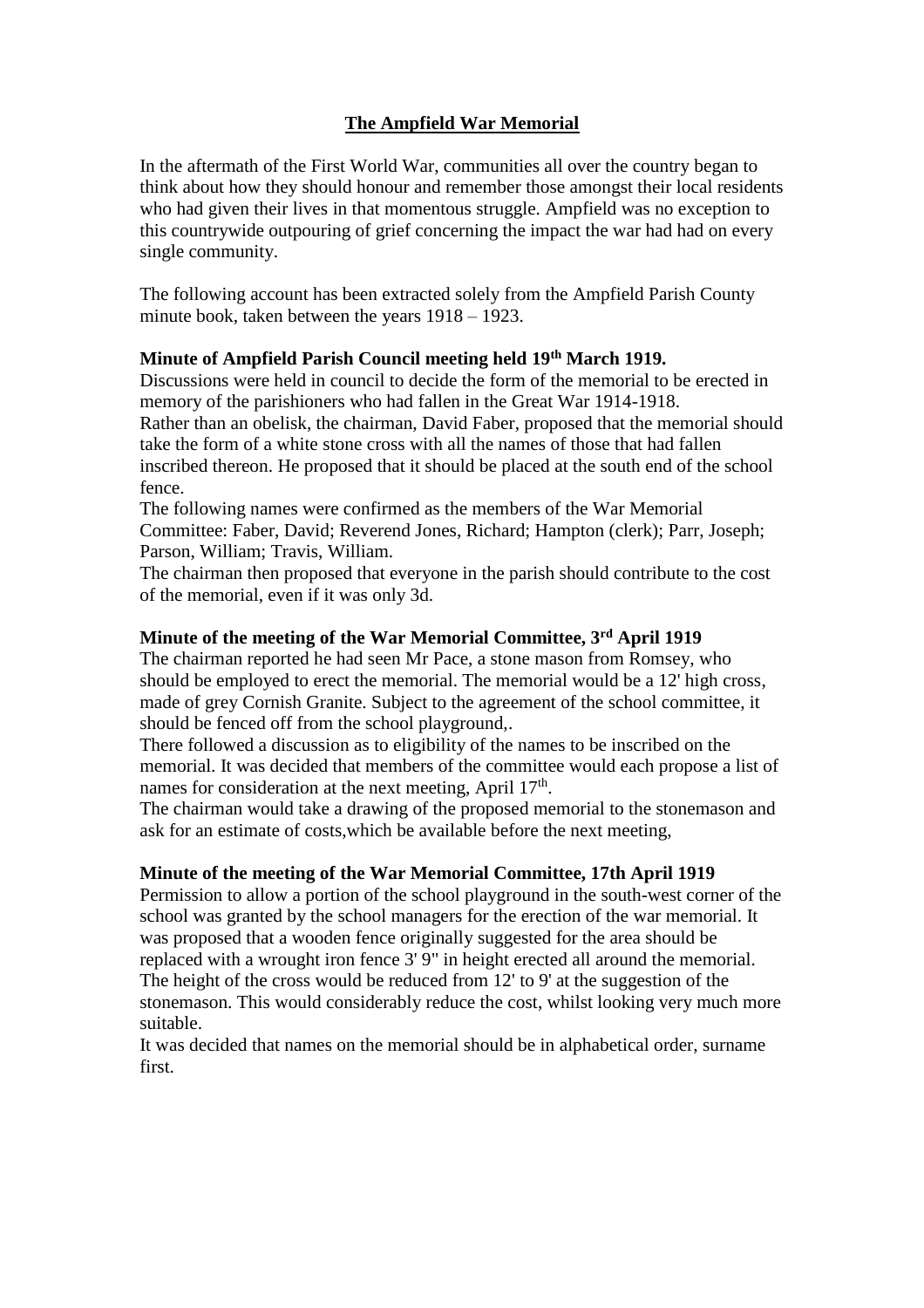# **The Ampfield War Memorial**

In the aftermath of the First World War, communities all over the country began to think about how they should honour and remember those amongst their local residents who had given their lives in that momentous struggle. Ampfield was no exception to this countrywide outpouring of grief concerning the impact the war had had on every single community.

The following account has been extracted solely from the Ampfield Parish County minute book, taken between the years 1918 – 1923.

# **Minute of Ampfield Parish Council meeting held 19th March 1919.**

Discussions were held in council to decide the form of the memorial to be erected in memory of the parishioners who had fallen in the Great War 1914-1918. Rather than an obelisk, the chairman, David Faber, proposed that the memorial should take the form of a white stone cross with all the names of those that had fallen inscribed thereon. He proposed that it should be placed at the south end of the school fence.

The following names were confirmed as the members of the War Memorial Committee: Faber, David; Reverend Jones, Richard; Hampton (clerk); Parr, Joseph; Parson, William; Travis, William.

The chairman then proposed that everyone in the parish should contribute to the cost of the memorial, even if it was only 3d.

# **Minute of the meeting of the War Memorial Committee, 3rd April 1919**

The chairman reported he had seen Mr Pace, a stone mason from Romsey, who should be employed to erect the memorial. The memorial would be a 12' high cross, made of grey Cornish Granite. Subject to the agreement of the school committee, it should be fenced off from the school playground,.

There followed a discussion as to eligibility of the names to be inscribed on the memorial. It was decided that members of the committee would each propose a list of names for consideration at the next meeting, April 17<sup>th</sup>.

The chairman would take a drawing of the proposed memorial to the stonemason and ask for an estimate of costs,which be available before the next meeting,

#### **Minute of the meeting of the War Memorial Committee, 17th April 1919**

Permission to allow a portion of the school playground in the south-west corner of the school was granted by the school managers for the erection of the war memorial. It was proposed that a wooden fence originally suggested for the area should be replaced with a wrought iron fence 3' 9" in height erected all around the memorial. The height of the cross would be reduced from 12' to 9' at the suggestion of the stonemason. This would considerably reduce the cost, whilst looking very much more suitable.

It was decided that names on the memorial should be in alphabetical order, surname first.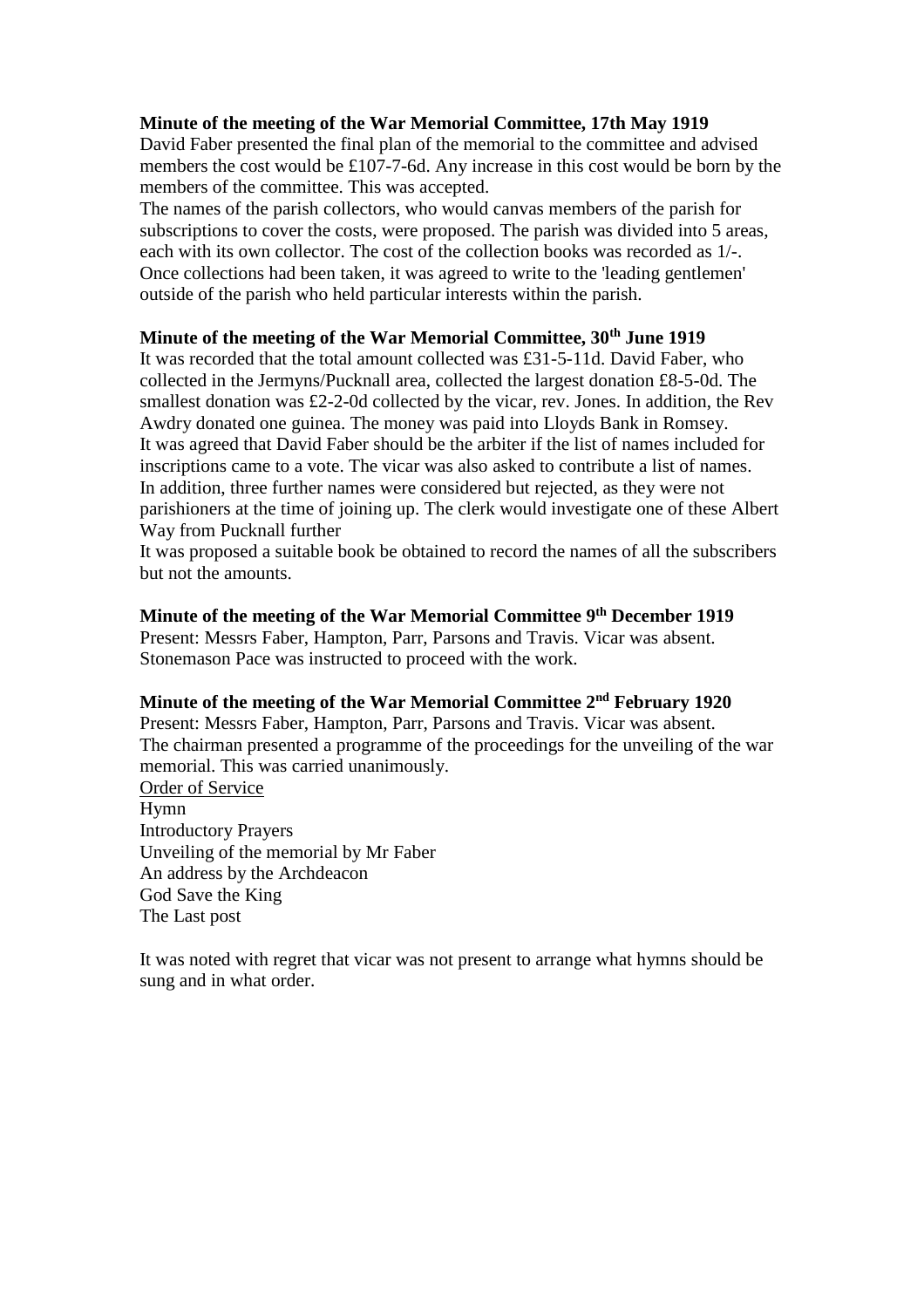#### **Minute of the meeting of the War Memorial Committee, 17th May 1919**

David Faber presented the final plan of the memorial to the committee and advised members the cost would be £107-7-6d. Any increase in this cost would be born by the members of the committee. This was accepted.

The names of the parish collectors, who would canvas members of the parish for subscriptions to cover the costs, were proposed. The parish was divided into 5 areas, each with its own collector. The cost of the collection books was recorded as 1/-. Once collections had been taken, it was agreed to write to the 'leading gentlemen' outside of the parish who held particular interests within the parish.

### **Minute of the meeting of the War Memorial Committee, 30th June 1919**

It was recorded that the total amount collected was £31-5-11d. David Faber, who collected in the Jermyns/Pucknall area, collected the largest donation £8-5-0d. The smallest donation was £2-2-0d collected by the vicar, rev. Jones. In addition, the Rev Awdry donated one guinea. The money was paid into Lloyds Bank in Romsey. It was agreed that David Faber should be the arbiter if the list of names included for inscriptions came to a vote. The vicar was also asked to contribute a list of names. In addition, three further names were considered but rejected, as they were not parishioners at the time of joining up. The clerk would investigate one of these Albert Way from Pucknall further

It was proposed a suitable book be obtained to record the names of all the subscribers but not the amounts.

# **Minute of the meeting of the War Memorial Committee 9 th December 1919**

Present: Messrs Faber, Hampton, Parr, Parsons and Travis. Vicar was absent. Stonemason Pace was instructed to proceed with the work.

# **Minute of the meeting of the War Memorial Committee 2nd February 1920**

Present: Messrs Faber, Hampton, Parr, Parsons and Travis. Vicar was absent. The chairman presented a programme of the proceedings for the unveiling of the war memorial. This was carried unanimously.

Order of Service Hymn Introductory Prayers Unveiling of the memorial by Mr Faber An address by the Archdeacon God Save the King The Last post

It was noted with regret that vicar was not present to arrange what hymns should be sung and in what order.